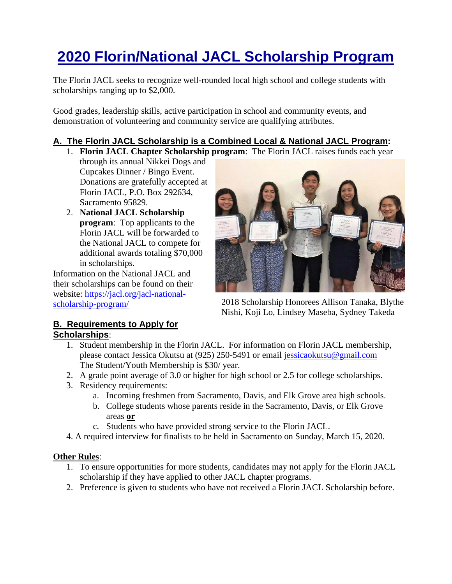# **2020 Florin/National JACL Scholarship Program**

The Florin JACL seeks to recognize well-rounded local high school and college students with scholarships ranging up to \$2,000.

Good grades, leadership skills, active participation in school and community events, and demonstration of volunteering and community service are qualifying attributes.

## **A. The Florin JACL Scholarship is a Combined Local & National JACL Program:**

- 1. **Florin JACL Chapter Scholarship program**: The Florin JACL raises funds each year
- through its annual Nikkei Dogs and Cupcakes Dinner / Bingo Event. Donations are gratefully accepted at Florin JACL, P.O. Box 292634, Sacramento 95829.
- 2. **National JACL Scholarship program**: Top applicants to the Florin JACL will be forwarded to the National JACL to compete for additional awards totaling \$70,000 in scholarships.

Information on the National JACL and their scholarships can be found on their website: [https://jacl.org/jacl-national](https://jacl.org/jacl-national-scholarship-program/)[scholarship-program/](https://jacl.org/jacl-national-scholarship-program/)



2018 Scholarship Honorees Allison Tanaka, Blythe Nishi, Koji Lo, Lindsey Maseba, Sydney Takeda

#### **B. Requirements to Apply for Scholarships**:

- 1. Student membership in the Florin JACL. For information on Florin JACL membership, please contact Jessica Okutsu at (925) 250-5491 or email [jessicaokutsu@gmail.com](mailto:jessicaokutsu@gmail.com)  The Student/Youth Membership is \$30/ year.
- 2. A grade point average of 3.0 or higher for high school or 2.5 for college scholarships.
- 3. Residency requirements:
	- a. Incoming freshmen from Sacramento, Davis, and Elk Grove area high schools.
	- b. College students whose parents reside in the Sacramento, Davis, or Elk Grove areas **or**
	- c. Students who have provided strong service to the Florin JACL.
- 4. A required interview for finalists to be held in Sacramento on Sunday, March 15, 2020.

#### **Other Rules**:

- 1. To ensure opportunities for more students, candidates may not apply for the Florin JACL scholarship if they have applied to other JACL chapter programs.
- 2. Preference is given to students who have not received a Florin JACL Scholarship before.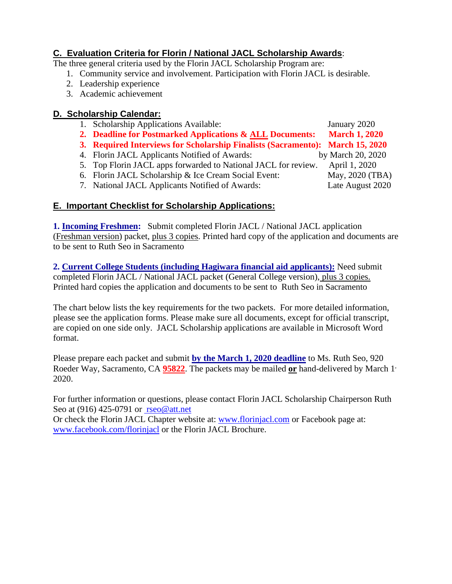### **C. Evaluation Criteria for Florin / National JACL Scholarship Awards**:

The three general criteria used by the Florin JACL Scholarship Program are:

- 1. Community service and involvement. Participation with Florin JACL is desirable.
- 2. Leadership experience
- 3. Academic achievement

#### **D. Scholarship Calendar:**

- 1. Scholarship Applications Available: January 2020
- **2. Deadline for Postmarked Applications & ALL Documents: March 1, 2020**
- **3. Required Interviews for Scholarship Finalists (Sacramento): March 15, 2020**
- 4. Florin JACL Applicants Notified of Awards: by March 20, 2020
- 5. Top Florin JACL apps forwarded to National JACL for review. April 1, 2020
- 6. Florin JACL Scholarship & Ice Cream Social Event: May, 2020 (TBA)
- 7. National JACL Applicants Notified of Awards: Late August 2020

#### **E. Important Checklist for Scholarship Applications:**

**1. Incoming Freshmen:** Submit completed Florin JACL / National JACL application (Freshman version) packet, plus 3 copies. Printed hard copy of the application and documents are to be sent to Ruth Seo in Sacramento

**2. Current College Students (including Hagiwara financial aid applicants):** Need submit completed Florin JACL / National JACL packet (General College version), plus 3 copies. Printed hard copies the application and documents to be sent to Ruth Seo in Sacramento

The chart below lists the key requirements for the two packets. For more detailed information, please see the application forms. Please make sure all documents, except for official transcript, are copied on one side only. JACL Scholarship applications are available in Microsoft Word format.

Please prepare each packet and submit **by the March 1, 2020 deadline** to Ms. Ruth Seo, 920 Roeder Way, Sacramento, CA **95822**. The packets may be mailed **or** hand-delivered by March 1, 2020.

For further information or questions, please contact Florin JACL Scholarship Chairperson Ruth Seo at (916) 425-0791 or [rseo@att.net](mailto:%20rseo1@att.net) 

Or check the Florin JACL Chapter website at: [www.florinjacl.com](http://www.florinjacl.com/) or Facebook page at: [www.facebook.com/florinjacl](http://www.facebook.com/florinjacl) or the Florin JACL Brochure.

- 
- 
- -